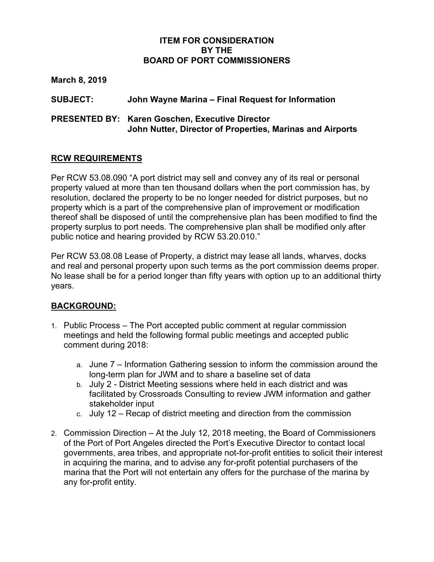#### **ITEM FOR CONSIDERATION BY THE BOARD OF PORT COMMISSIONERS**

**March 8, 2019**

**SUBJECT: John Wayne Marina – Final Request for Information**

### **PRESENTED BY: Karen Goschen, Executive Director John Nutter, Director of Properties, Marinas and Airports**

### **RCW REQUIREMENTS**

Per RCW 53.08.090 "A port district may sell and convey any of its real or personal property valued at more than ten thousand dollars when the port commission has, by resolution, declared the property to be no longer needed for district purposes, but no property which is a part of the comprehensive plan of improvement or modification thereof shall be disposed of until the comprehensive plan has been modified to find the property surplus to port needs. The comprehensive plan shall be modified only after public notice and hearing provided by RCW 53.20.010."

Per RCW 53.08.08 Lease of Property, a district may lease all lands, wharves, docks and real and personal property upon such terms as the port commission deems proper. No lease shall be for a period longer than fifty years with option up to an additional thirty years.

# **BACKGROUND:**

- 1. Public Process The Port accepted public comment at regular commission meetings and held the following formal public meetings and accepted public comment during 2018:
	- a. June 7 Information Gathering session to inform the commission around the long-term plan for JWM and to share a baseline set of data
	- b. July 2 District Meeting sessions where held in each district and was facilitated by Crossroads Consulting to review JWM information and gather stakeholder input
	- c. July 12 Recap of district meeting and direction from the commission
- 2. Commission Direction At the July 12, 2018 meeting, the Board of Commissioners of the Port of Port Angeles directed the Port's Executive Director to contact local governments, area tribes, and appropriate not-for-profit entities to solicit their interest in acquiring the marina, and to advise any for-profit potential purchasers of the marina that the Port will not entertain any offers for the purchase of the marina by any for-profit entity.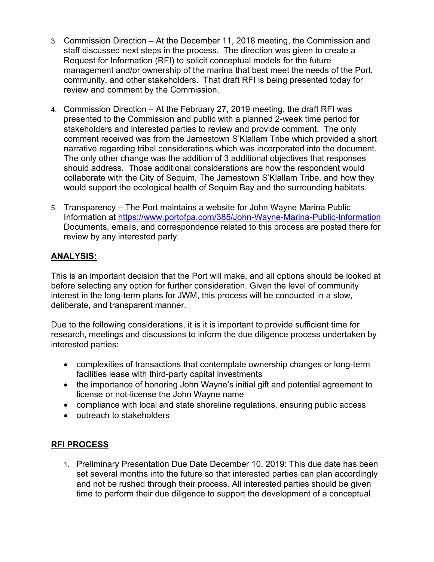- 3. Commission Direction At the December 11, 2018 meeting, the Commission and staff discussed next steps in the process. The direction was given to create a Request for Information (RFI) to solicit conceptual models for the future management and/or ownership of the marina that best meet the needs of the Port, community, and other stakeholders. That draft RFI is being presented today for review and comment by the Commission.
- 4. Commission Direction At the February 27, 2019 meeting, the draft RFI was presented to the Commission and public with a planned 2-week time period for stakeholders and interested parties to review and provide comment. The only comment received was from the Jamestown S'Klallam Tribe which provided a short narrative regarding tribal considerations which was incorporated into the document. The only other change was the addition of 3 additional objectives that responses should address. Those additional considerations are how the respondent would collaborate with the City of Sequim, The Jamestown S'Klallam Tribe, and how they would support the ecological health of Sequim Bay and the surrounding habitats.
- 5. Transparency The Port maintains a website for John Wayne Marina Public Information at <https://www.portofpa.com/385/John-Wayne-Marina-Public-Information> Documents, emails, and correspondence related to this process are posted there for review by any interested party.

# **ANALYSIS:**

This is an important decision that the Port will make, and all options should be looked at before selecting any option for further consideration. Given the level of community interest in the long-term plans for JWM, this process will be conducted in a slow, deliberate, and transparent manner.

Due to the following considerations, it is it is important to provide sufficient time for research, meetings and discussions to inform the due diligence process undertaken by interested parties:

- complexities of transactions that contemplate ownership changes or long-term facilities lease with third-party capital investments
- the importance of honoring John Wayne's initial gift and potential agreement to license or not-license the John Wayne name
- compliance with local and state shoreline regulations, ensuring public access
- outreach to stakeholders

### **RFI PROCESS**

1. Preliminary Presentation Due Date December 10, 2019: This due date has been set several months into the future so that interested parties can plan accordingly and not be rushed through their process. All interested parties should be given time to perform their due diligence to support the development of a conceptual